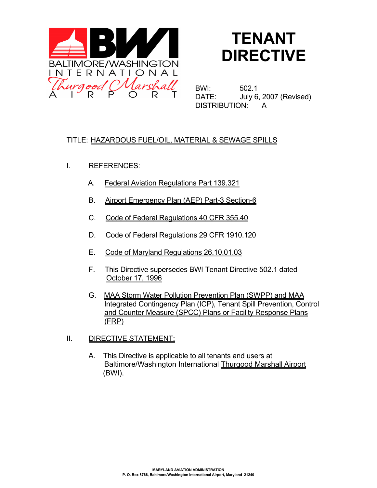

# **TENANT DIRECTIVE**

BWI: 502.1 DATE: July 6, 2007 (Revised) DISTRIBUTION: A

# TITLE: HAZARDOUS FUEL/OIL, MATERIAL & SEWAGE SPILLS

- I. REFERENCES:
	- A. Federal Aviation Regulations Part 139.321
	- B. Airport Emergency Plan (AEP) Part-3 Section-6
	- C. Code of Federal Regulations 40 CFR 355.40
	- D. Code of Federal Regulations 29 CFR 1910.120
	- E. Code of Maryland Regulations 26.10.01.03
	- F. This Directive supersedes BWI Tenant Directive 502.1 dated October 17, 1996
	- G. MAA Storm Water Pollution Prevention Plan (SWPP) and MAA Integrated Contingency Plan (ICP), Tenant Spill Prevention, Control and Counter Measure (SPCC) Plans or Facility Response Plans (FRP)
- II. DIRECTIVE STATEMENT:
	- A. This Directive is applicable to all tenants and users at Baltimore/Washington International Thurgood Marshall Airport (BWI).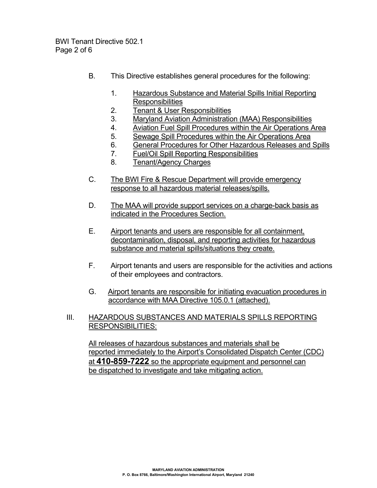BWI Tenant Directive 502.1 Page 2 of 6

- B. This Directive establishes general procedures for the following:
	- 1. Hazardous Substance and Material Spills Initial Reporting **Responsibilities**
	- 2. Tenant & User Responsibilities
	- 3. Maryland Aviation Administration (MAA) Responsibilities
	- 4. Aviation Fuel Spill Procedures within the Air Operations Area
	- 5. Sewage Spill Procedures within the Air Operations Area
	- 6. General Procedures for Other Hazardous Releases and Spills
	- 7. Fuel/Oil Spill Reporting Responsibilities
	- 8. Tenant/Agency Charges
- C. The BWI Fire & Rescue Department will provide emergency response to all hazardous material releases/spills.
- D. The MAA will provide support services on a charge-back basis as indicated in the Procedures Section.
- E. Airport tenants and users are responsible for all containment, decontamination, disposal, and reporting activities for hazardous substance and material spills/situations they create.
- F. Airport tenants and users are responsible for the activities and actions of their employees and contractors.
- G. Airport tenants are responsible for initiating evacuation procedures in accordance with MAA Directive 105.0.1 (attached).
- III. HAZARDOUS SUBSTANCES AND MATERIALS SPILLS REPORTING RESPONSIBILITIES:

All releases of hazardous substances and materials shall be reported immediately to the Airport's Consolidated Dispatch Center (CDC) at **410-859-7222** so the appropriate equipment and personnel can be dispatched to investigate and take mitigating action.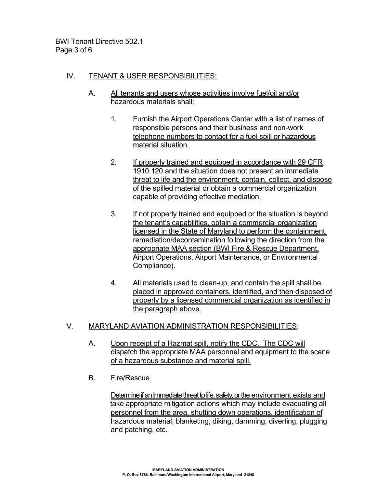BWI Tenant Directive 502.1 Page 3 of 6

## IV. TENANT & USER RESPONSIBILITIES:

- A. All tenants and users whose activities involve fuel/oil and/or hazardous materials shall:
	- 1. Furnish the Airport Operations Center with a list of names of responsible persons and their business and non-work telephone numbers to contact for a fuel spill or hazardous material situation.
	- 2. If properly trained and equipped in accordance with 29 CFR 1910.120 and the situation does not present an immediate threat to life and the environment, contain, collect, and dispose of the spilled material or obtain a commercial organization capable of providing effective mediation.
	- 3. If not properly trained and equipped or the situation is beyond the tenant's capabilities, obtain a commercial organization licensed in the State of Maryland to perform the containment, remediation/decontamination following the direction from the appropriate MAA section (BWI Fire & Rescue Department, Airport Operations, Airport Maintenance, or Environmental Compliance).
	- 4. All materials used to clean-up, and contain the spill shall be placed in approved containers, identified, and then disposed of properly by a licensed commercial organization as identified in the paragraph above.

#### V. MARYLAND AVIATION ADMINISTRATION RESPONSIBILITIES:

- A. Upon receipt of a Hazmat spill, notify the CDC. The CDC will dispatch the appropriate MAA personnel and equipment to the scene of a hazardous substance and material spill.
- B. Fire/Rescue

Determine if an immediate threat to life, safety, or the environment exists and take appropriate mitigation actions which may include evacuating all personnel from the area, shutting down operations, identification of hazardous material, blanketing, diking, damming, diverting, plugging and patching, etc.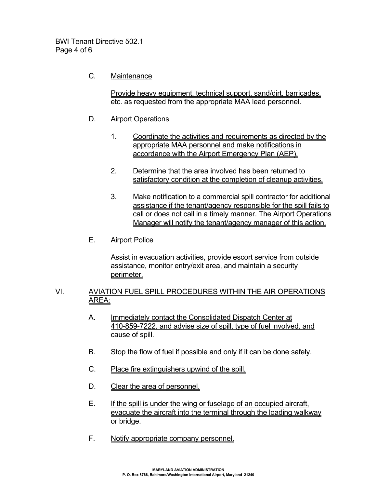BWI Tenant Directive 502.1 Page 4 of 6

C*.* Maintenance

Provide heavy equipment, technical support, sand/dirt, barricades, etc. as requested from the appropriate MAA lead personnel.

- D. Airport Operations
	- 1. Coordinate the activities and requirements as directed by the appropriate MAA personnel and make notifications in accordance with the Airport Emergency Plan (AEP).
	- 2. Determine that the area involved has been returned to satisfactory condition at the completion of cleanup activities.
	- 3. Make notification to a commercial spill contractor for additional assistance if the tenant/agency responsible for the spill fails to call or does not call in a timely manner. The Airport Operations Manager will notify the tenant/agency manager of this action.
- E. Airport Police

Assist in evacuation activities, provide escort service from outside assistance, monitor entry/exit area, and maintain a security perimeter.

- VI. AVIATION FUEL SPILL PROCEDURES WITHIN THE AIR OPERATIONS AREA:
	- A. Immediately contact the Consolidated Dispatch Center at 410-859-7222, and advise size of spill, type of fuel involved, and cause of spill.
	- B. Stop the flow of fuel if possible and only if it can be done safely.
	- C. Place fire extinguishers upwind of the spill.
	- D. Clear the area of personnel.
	- E. If the spill is under the wing or fuselage of an occupied aircraft, evacuate the aircraft into the terminal through the loading walkway or bridge.
	- F. Notify appropriate company personnel.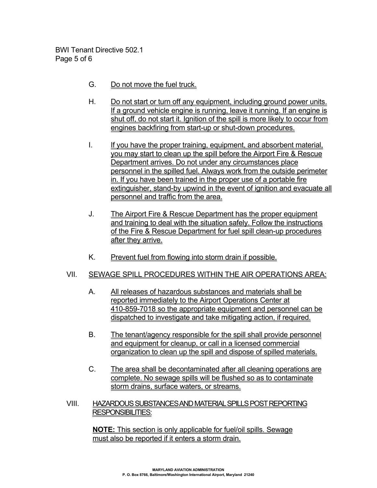BWI Tenant Directive 502.1 Page 5 of 6

- G. Do not move the fuel truck.
- H. Do not start or turn off any equipment, including ground power units. If a ground vehicle engine is running, leave it running. If an engine is shut off, do not start it. Ignition of the spill is more likely to occur from engines backfiring from start-up or shut-down procedures.
- I. If you have the proper training, equipment, and absorbent material, you may start to clean up the spill before the Airport Fire & Rescue Department arrives. Do not under any circumstances place personnel in the spilled fuel. Always work from the outside perimeter in. If you have been trained in the proper use of a portable fire extinguisher, stand-by upwind in the event of ignition and evacuate all personnel and traffic from the area.
- J. The Airport Fire & Rescue Department has the proper equipment and training to deal with the situation safely. Follow the instructions of the Fire & Rescue Department for fuel spill clean-up procedures after they arrive.
- K. Prevent fuel from flowing into storm drain if possible.

## VII. SEWAGE SPILL PROCEDURES WITHIN THE AIR OPERATIONS AREA:

- A. All releases of hazardous substances and materials shall be reported immediately to the Airport Operations Center at 410-859-7018 so the appropriate equipment and personnel can be dispatched to investigate and take mitigating action, if required.
- B. The tenant/agency responsible for the spill shall provide personnel and equipment for cleanup, or call in a licensed commercial organization to clean up the spill and dispose of spilled materials.
- C. The area shall be decontaminated after all cleaning operations are complete. No sewage spills will be flushed so as to contaminate storm drains, surface waters, or streams.
- VIII. HAZARDOUS SUBSTANCES AND MATERIAL SPILLS POST REPORTING RESPONSIBILITIES:

 **NOTE:** This section is only applicable for fuel/oil spills. Sewage must also be reported if it enters a storm drain.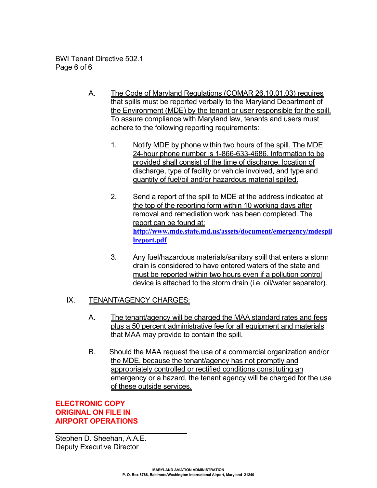BWI Tenant Directive 502.1 Page 6 of 6

- A. The Code of Maryland Regulations (COMAR 26.10.01.03) requires that spills must be reported verbally to the Maryland Department of the Environment (MDE) by the tenant or user responsible for the spill. To assure compliance with Maryland law, tenants and users must adhere to the following reporting requirements:
	- 1. Notify MDE by phone within two hours of the spill. The MDE 24-hour phone number is 1-866-633-4686. Information to be provided shall consist of the time of discharge, location of discharge, type of facility or vehicle involved, and type and quantity of fuel/oil and/or hazardous material spilled.
	- 2. Send a report of the spill to MDE at the address indicated at the top of the reporting form within 10 working days after removal and remediation work has been completed. The report can be found at: **[http://www.mde.state.md.us/assets/document/emergency/mdespil](http://www.mde.state.md.us/assets/document/emergency/mdespillreport.pdf) [lreport.pdf](http://www.mde.state.md.us/assets/document/emergency/mdespillreport.pdf)**
	- 3. Any fuel/hazardous materials/sanitary spill that enters a storm drain is considered to have entered waters of the state and must be reported within two hours even if a pollution control device is attached to the storm drain (i.e. oil/water separator).

## IX. TENANT/AGENCY CHARGES:

- A. The tenant/agency will be charged the MAA standard rates and fees plus a 50 percent administrative fee for all equipment and materials that MAA may provide to contain the spill.
- B. Should the MAA request the use of a commercial organization and/or the MDE, because the tenant/agency has not promptly and appropriately controlled or rectified conditions constituting an emergency or a hazard, the tenant agency will be charged for the use of these outside services.

## **ELECTRONIC COPY ORIGINAL ON FILE IN AIRPORT OPERATIONS**

 $\overline{\phantom{a}}$  , which is a set of the set of the set of the set of the set of the set of the set of the set of the set of the set of the set of the set of the set of the set of the set of the set of the set of the set of th Stephen D. Sheehan, A.A.E. Deputy Executive Director